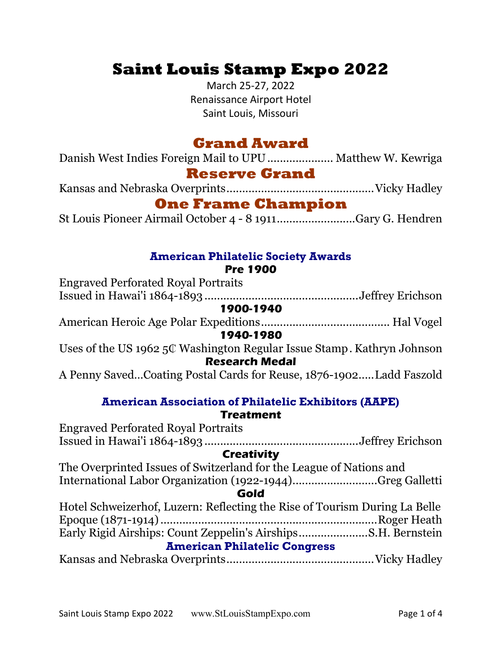# Saint Louis Stamp Expo 2022

March 25-27, 2022 Renaissance Airport Hotel Saint Louis, Missouri

## Grand Award

Danish West Indies Foreign Mail to UPU ..................... Matthew W. Kewriga

# Reserve Grand

Kansas and Nebraska Overprints ............................................... Vicky Hadley

### One Frame Champion

St Louis Pioneer Airmail October 4 - 8 1911 ......................... Gary G. Hendren

# American Philatelic Society Awards

#### Pre 1900

Engraved Perforated Royal Portraits Issued in Hawai'i 1864-1893 ................................................. Jeffrey Erichson 1900-1940 American Heroic Age Polar Expeditions ......................................... Hal Vogel 1940-1980 Uses of the US 1962 5₵ Washington Regular Issue Stamp . Kathryn Johnson Research Medal A Penny Saved…Coating Postal Cards for Reuse, 1876-1902 ..... Ladd Faszold

#### American Association of Philatelic Exhibitors (AAPE) **Treatment**

| <b>Engraved Perforated Royal Portraits</b>                                 |  |  |
|----------------------------------------------------------------------------|--|--|
|                                                                            |  |  |
| <b>Creativity</b>                                                          |  |  |
| The Overprinted Issues of Switzerland for the League of Nations and        |  |  |
| International Labor Organization (1922-1944)Greg Galletti                  |  |  |
| Gold                                                                       |  |  |
| Hotel Schweizerhof, Luzern: Reflecting the Rise of Tourism During La Belle |  |  |
|                                                                            |  |  |
|                                                                            |  |  |
| <b>American Philatelic Congress</b>                                        |  |  |
|                                                                            |  |  |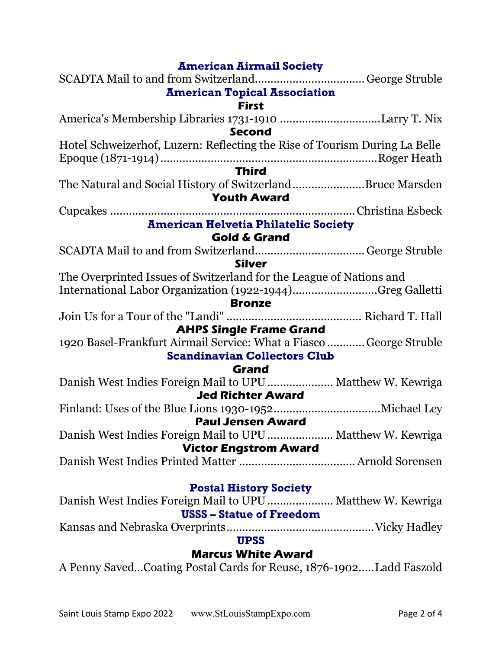| <b>American Airmail Society</b>                                            |  |  |
|----------------------------------------------------------------------------|--|--|
|                                                                            |  |  |
| <b>American Topical Association</b>                                        |  |  |
| <b>First</b>                                                               |  |  |
| America's Membership Libraries 1731-1910 Larry T. Nix                      |  |  |
| <b>Second</b>                                                              |  |  |
| Hotel Schweizerhof, Luzern: Reflecting the Rise of Tourism During La Belle |  |  |
|                                                                            |  |  |
| <b>Third</b>                                                               |  |  |
| The Natural and Social History of SwitzerlandBruce Marsden                 |  |  |
| <b>Youth Award</b>                                                         |  |  |
|                                                                            |  |  |
| <b>American Helvetia Philatelic Society</b>                                |  |  |
| <b>Gold &amp; Grand</b>                                                    |  |  |
|                                                                            |  |  |
| <b>Silver</b>                                                              |  |  |
| The Overprinted Issues of Switzerland for the League of Nations and        |  |  |
| International Labor Organization (1922-1944)Greg Galletti                  |  |  |
| <b>Bronze</b>                                                              |  |  |
|                                                                            |  |  |
| <b>AHPS Single Frame Grand</b>                                             |  |  |
| 1920 Basel-Frankfurt Airmail Service: What a Fiasco  George Struble        |  |  |
| <b>Scandinavian Collectors Club</b>                                        |  |  |
| Grand                                                                      |  |  |
| Danish West Indies Foreign Mail to UPU  Matthew W. Kewriga                 |  |  |
| <b>Jed Richter Award</b>                                                   |  |  |
|                                                                            |  |  |
| <b>Paul Jensen Award</b>                                                   |  |  |
| Danish West Indies Foreign Mail to UPU  Matthew W. Kewriga                 |  |  |
| <b>Victor Engstrom Award</b>                                               |  |  |
|                                                                            |  |  |
|                                                                            |  |  |
| <b>Postal History Society</b>                                              |  |  |
| Danish West Indies Foreign Mail to UPU Matthew W. Kewriga                  |  |  |
| <b>USSS</b> – Statue of Freedom                                            |  |  |
|                                                                            |  |  |

### UPSS

### Marcus White Award

A Penny Saved…Coating Postal Cards for Reuse, 1876-1902 ..... Ladd Faszold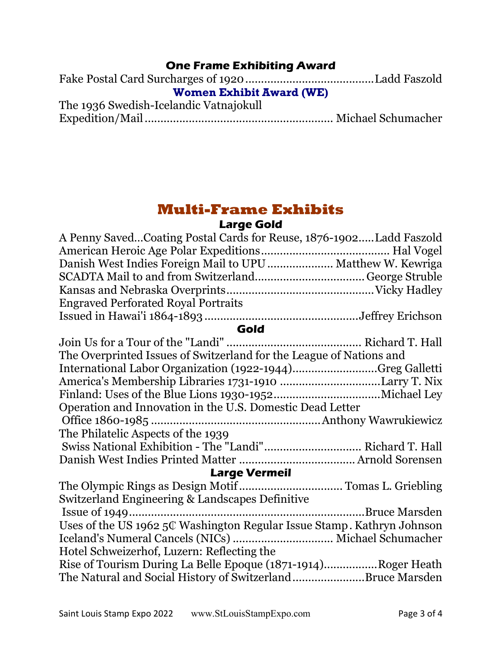#### One Frame Exhibiting Award

| <b>Women Exhibit Award (WE)</b>        |  |  |
|----------------------------------------|--|--|
| The 1936 Swedish-Icelandic Vatnajokull |  |  |
|                                        |  |  |

# Multi-Frame Exhibits

#### Large Gold

| A Penny SavedCoating Postal Cards for Reuse, 1876-1902Ladd Faszold     |  |  |
|------------------------------------------------------------------------|--|--|
|                                                                        |  |  |
| Danish West Indies Foreign Mail to UPU  Matthew W. Kewriga             |  |  |
|                                                                        |  |  |
|                                                                        |  |  |
| <b>Engraved Perforated Royal Portraits</b>                             |  |  |
|                                                                        |  |  |
| Gold                                                                   |  |  |
|                                                                        |  |  |
| The Overprinted Issues of Switzerland for the League of Nations and    |  |  |
| International Labor Organization (1922-1944)Greg Galletti              |  |  |
| America's Membership Libraries 1731-1910 Larry T. Nix                  |  |  |
|                                                                        |  |  |
| Operation and Innovation in the U.S. Domestic Dead Letter              |  |  |
|                                                                        |  |  |
|                                                                        |  |  |
| The Philatelic Aspects of the 1939                                     |  |  |
|                                                                        |  |  |
|                                                                        |  |  |
| <b>Large Vermeil</b>                                                   |  |  |
| The Olympic Rings as Design Motif  Tomas L. Griebling                  |  |  |
| Switzerland Engineering & Landscapes Definitive                        |  |  |
|                                                                        |  |  |
| Uses of the US 1962 5C Washington Regular Issue Stamp. Kathryn Johnson |  |  |
|                                                                        |  |  |
| Hotel Schweizerhof, Luzern: Reflecting the                             |  |  |
| Rise of Tourism During La Belle Epoque (1871-1914)Roger Heath          |  |  |
|                                                                        |  |  |

The Natural and Social History of Switzerland ....................... Bruce Marsden